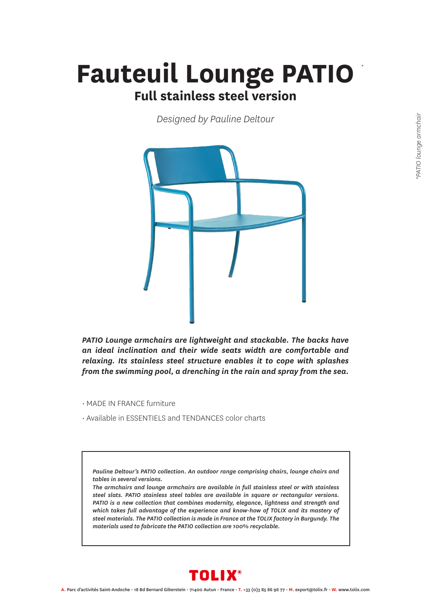## *\** **Fauteuil Lounge PATIO Full stainless steel version**

*Designed by Pauline Deltour*



*PATIO Lounge armchairs are lightweight and stackable. The backs have an ideal inclination and their wide seats width are comfortable and relaxing. Its stainless steel structure enables it to cope with splashes from the swimming pool, a drenching in the rain and spray from the sea.*

- MADE IN FRANCE furniture
- Available in ESSENTIELS and TENDANCES color charts

*Pauline Deltour's PATIO collection. An outdoor range comprising chairs, lounge chairs and tables in several versions.*

*The armchairs and lounge armchairs are available in full stainless steel or with stainless steel slats. PATIO stainless steel tables are available in square or rectangular versions. PATIO is a new collection that combines modernity, elegance, lightness and strength and which takes full advantage of the experience and know-how of TOLIX and its mastery of steel materials. The PATIO collection is made in France at the TOLIX factory in Burgundy. The materials used to fabricate the PATIO collection are 100% recyclable.*